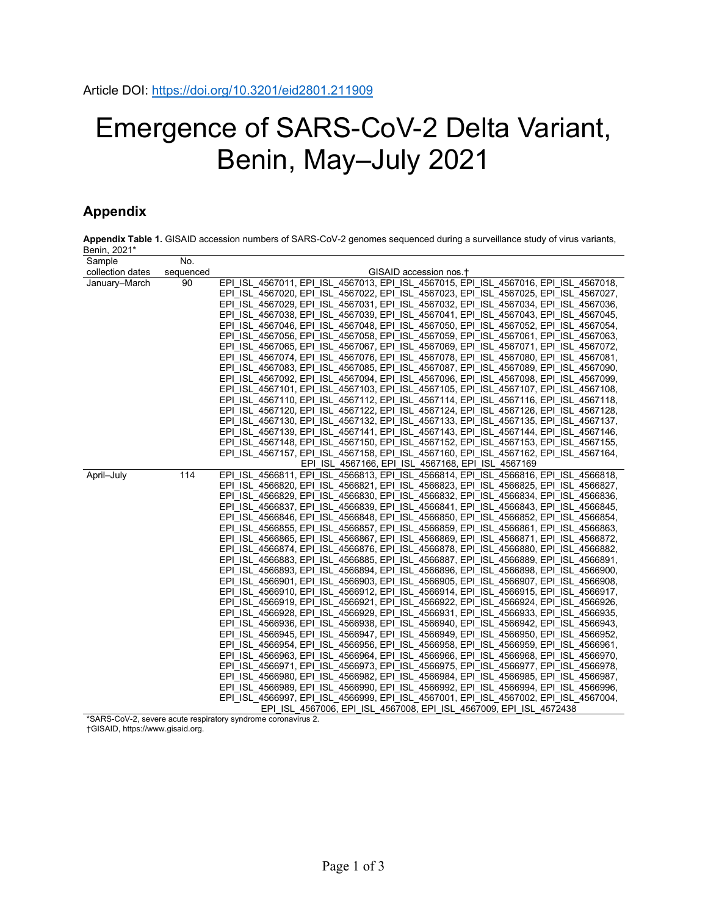## Emergence of SARS-CoV-2 Delta Variant, Benin, May–July 2021

## **Appendix**

**Appendix Table 1.** GISAID accession numbers of SARS-CoV-2 genomes sequenced during a surveillance study of virus variants, Benin, 2021\*

| Sample           | No.       |                                                                                                                                                                              |  |  |  |  |  |
|------------------|-----------|------------------------------------------------------------------------------------------------------------------------------------------------------------------------------|--|--|--|--|--|
| collection dates | sequenced | GISAID accession nos.†                                                                                                                                                       |  |  |  |  |  |
| January-March    | 90        | EPI ISL 4567011, EPI ISL 4567013, EPI ISL 4567015, EPI ISL 4567016, EPI ISL 4567018,                                                                                         |  |  |  |  |  |
|                  |           | EPI ISL 4567020, EPI ISL 4567022, EPI ISL 4567023, EPI ISL 4567025, EPI ISL 4567027,                                                                                         |  |  |  |  |  |
|                  |           | EPI ISL 4567029, EPI ISL 4567031, EPI ISL 4567032, EPI ISL 4567034, EPI ISL 4567036,                                                                                         |  |  |  |  |  |
|                  |           | EPI ISL 4567038, EPI ISL 4567039, EPI ISL 4567041, EPI ISL 4567043, EPI ISL 4567045,                                                                                         |  |  |  |  |  |
|                  |           | EPI ISL 4567046, EPI ISL_4567048, EPI_ISL_4567050, EPI_ISL_4567052, EPI_ISL_4567054,                                                                                         |  |  |  |  |  |
|                  |           | EPI ISL 4567056, EPI ISL 4567058, EPI ISL 4567059, EPI ISL 4567061, EPI ISL 4567063,                                                                                         |  |  |  |  |  |
|                  |           | EPI ISL 4567065, EPI ISL 4567067, EPI ISL 4567069, EPI ISL 4567071, EPI ISL 4567072,                                                                                         |  |  |  |  |  |
|                  |           | EPI ISL 4567074, EPI ISL 4567076, EPI ISL 4567078, EPI ISL 4567080, EPI ISL 4567081,                                                                                         |  |  |  |  |  |
|                  |           | EPI ISL 4567083, EPI ISL 4567085, EPI ISL 4567087, EPI ISL 4567089, EPI ISL 4567090,                                                                                         |  |  |  |  |  |
|                  |           | EPI ISL 4567092, EPI ISL 4567094, EPI ISL 4567096, EPI ISL 4567098, EPI ISL 4567099,                                                                                         |  |  |  |  |  |
|                  |           | EPI ISL 4567101, EPI ISL 4567103, EPI ISL 4567105, EPI ISL 4567107, EPI ISL 4567108,                                                                                         |  |  |  |  |  |
|                  |           | EPI ISL 4567110, EPI ISL 4567112, EPI_ISL_4567114, EPI_ISL_4567116, EPI_ISL_4567118,                                                                                         |  |  |  |  |  |
|                  |           | EPI_ISL_4567120, EPI_ISL_4567122, EPI_ISL_4567124, EPI_ISL_4567126, EPI_ISL_4567128,                                                                                         |  |  |  |  |  |
|                  |           | EPI ISL 4567130, EPI ISL 4567132, EPI ISL 4567133, EPI ISL 4567135, EPI ISL 4567137,                                                                                         |  |  |  |  |  |
|                  |           | EPI ISL 4567139, EPI ISL 4567141, EPI ISL 4567143, EPI ISL 4567144, EPI ISL 4567146,                                                                                         |  |  |  |  |  |
|                  |           | EPI ISL 4567148, EPI ISL 4567150, EPI ISL 4567152, EPI ISL 4567153, EPI ISL 4567155,                                                                                         |  |  |  |  |  |
|                  |           | EPI_ISL_4567157, EPI_ISL_4567158, EPI_ISL_4567160, EPI_ISL_4567162, EPI_ISL_4567164,                                                                                         |  |  |  |  |  |
|                  |           | EPI ISL 4567166, EPI_ISL_4567168, EPI_ISL_4567169                                                                                                                            |  |  |  |  |  |
| April-July       | 114       | EPI ISL 4566811, EPI ISL 4566813, EPI ISL 4566814, EPI ISL 4566816, EPI ISL 4566818,                                                                                         |  |  |  |  |  |
|                  |           | EPI ISL 4566820, EPI ISL 4566821, EPI ISL 4566823, EPI ISL 4566825, EPI ISL 4566827,                                                                                         |  |  |  |  |  |
|                  |           | EPI ISL 4566829, EPI_ISL_4566830, EPI_ISL_4566832, EPI_ISL_4566834, EPI_ISL_4566836,                                                                                         |  |  |  |  |  |
|                  |           | EPI ISL 4566837, EPI ISL_4566839, EPI_ISL_4566841, EPI_ISL_4566843, EPI_ISL_4566845,                                                                                         |  |  |  |  |  |
|                  |           | EPI ISL 4566846, EPI ISL 4566848, EPI ISL 4566850, EPI ISL 4566852, EPI ISL 4566854,                                                                                         |  |  |  |  |  |
|                  |           | EPI ISL 4566855, EPI ISL 4566857, EPI ISL 4566859, EPI ISL 4566861, EPI ISL 4566863,                                                                                         |  |  |  |  |  |
|                  |           | EPI ISL 4566865, EPI ISL 4566867, EPI ISL 4566869, EPI ISL 4566871, EPI ISL 4566872,                                                                                         |  |  |  |  |  |
|                  |           | EPI ISL 4566874, EPI ISL 4566876, EPI ISL 4566878, EPI ISL 4566880, EPI ISL 4566882,                                                                                         |  |  |  |  |  |
|                  |           | EPI ISL 4566883, EPI ISL 4566885, EPI ISL 4566887, EPI ISL 4566889, EPI ISL 4566891,                                                                                         |  |  |  |  |  |
|                  |           | EPI ISL 4566893, EPI ISL 4566894, EPI ISL 4566896, EPI ISL 4566898, EPI ISL 4566900,                                                                                         |  |  |  |  |  |
|                  |           | EPI ISL 4566901, EPI ISL 4566903, EPI ISL 4566905, EPI ISL 4566907, EPI ISL 4566908,                                                                                         |  |  |  |  |  |
|                  |           | EPI ISL 4566910, EPI ISL 4566912, EPI ISL 4566914, EPI ISL 4566915, EPI ISL 4566917,<br>EPI_ISL_4566919, EPI_ISL_4566921, EPI_ISL_4566922, EPI_ISL_4566924, EPI_ISL_4566926, |  |  |  |  |  |
|                  |           | EPI ISL 4566928, EPI ISL_4566929, EPI_ISL_4566931, EPI_ISL_4566933, EPI_ISL_4566935,                                                                                         |  |  |  |  |  |
|                  |           | EPI ISL 4566936, EPI ISL 4566938, EPI ISL 4566940, EPI ISL 4566942, EPI ISL 4566943,                                                                                         |  |  |  |  |  |
|                  |           | EPI ISL 4566945, EPI ISL 4566947, EPI ISL 4566949, EPI ISL 4566950, EPI ISL 4566952,                                                                                         |  |  |  |  |  |
|                  |           | EPI ISL 4566954, EPI ISL 4566956, EPI ISL 4566958, EPI ISL 4566959, EPI ISL 4566961,                                                                                         |  |  |  |  |  |
|                  |           | EPI ISL 4566963, EPI ISL 4566964, EPI ISL 4566966, EPI ISL 4566968, EPI ISL 4566970,                                                                                         |  |  |  |  |  |
|                  |           | EPI ISL 4566971, EPI ISL 4566973, EPI ISL 4566975, EPI ISL 4566977, EPI ISL 4566978,                                                                                         |  |  |  |  |  |
|                  |           | EPI ISL 4566980, EPI ISL 4566982, EPI ISL 4566984, EPI ISL 4566985, EPI ISL 4566987,                                                                                         |  |  |  |  |  |
|                  |           | EPI ISL 4566989, EPI ISL 4566990, EPI ISL 4566992, EPI ISL 4566994, EPI ISL 4566996,                                                                                         |  |  |  |  |  |
|                  |           | EPI ISL 4566997, EPI ISL 4566999, EPI ISL 4567001, EPI ISL 4567002, EPI ISL 4567004,                                                                                         |  |  |  |  |  |
|                  |           | EPI ISL 4567006, EPI ISL 4567008, EPI ISL 4567009, EPI ISL 4572438                                                                                                           |  |  |  |  |  |

\*SARS-CoV-2, severe acute respiratory syndrome coronavirus 2. †GISAID, https://www.gisaid.org.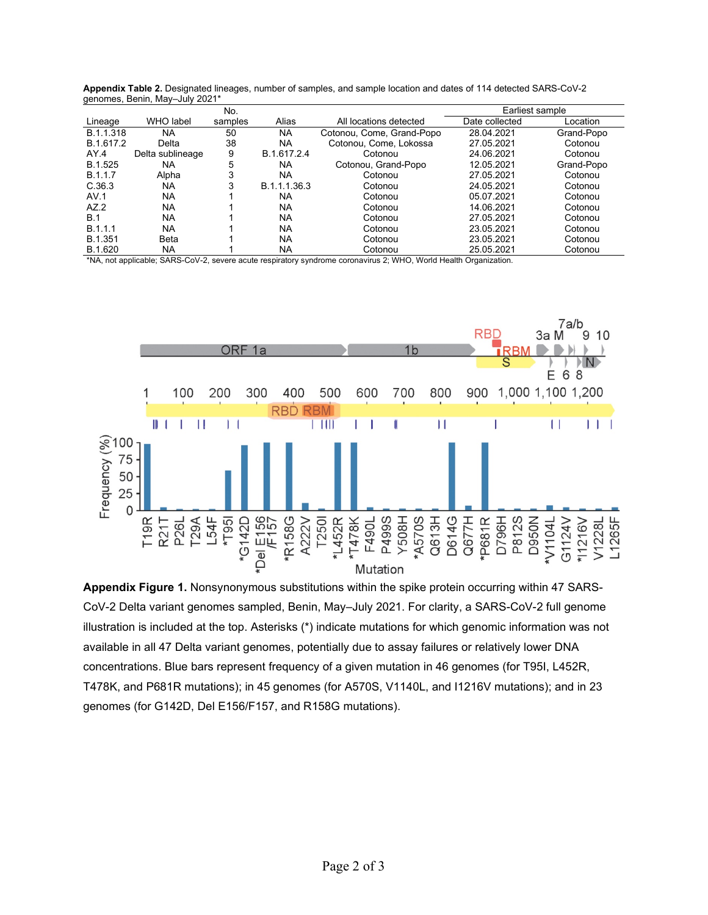**Appendix Table 2.** Designated lineages, number of samples, and sample location and dates of 114 detected SARS-CoV-2 genomes, Benin, May–July 2021\*

|            | No.              |         |              |                           | Earliest sample |            |
|------------|------------------|---------|--------------|---------------------------|-----------------|------------|
| Lineage    | WHO label        | samples | Alias        | All locations detected    | Date collected  | Location   |
| B.1.1.318  | <b>NA</b>        | 50      | <b>NA</b>    | Cotonou, Come, Grand-Popo | 28.04.2021      | Grand-Popo |
| B.1.617.2  | Delta            | 38      | NA           | Cotonou, Come, Lokossa    | 27.05.2021      | Cotonou    |
| AY.4       | Delta sublineage | 9       | B.1.617.2.4  | Cotonou                   | 24.06.2021      | Cotonou    |
| B.1.525    | <b>NA</b>        | 5       | NA           | Cotonou, Grand-Popo       | 12.05.2021      | Grand-Popo |
| B.1.1.7    | Alpha            | 3       | NA           | Cotonou                   | 27.05.2021      | Cotonou    |
| C.36.3     | <b>NA</b>        | 3       | B.1.1.1.36.3 | Cotonou                   | 24.05.2021      | Cotonou    |
| AV.1       | <b>NA</b>        |         | NA           | Cotonou                   | 05.07.2021      | Cotonou    |
| AZ.2       | <b>NA</b>        |         | NA           | Cotonou                   | 14.06.2021      | Cotonou    |
| <b>B.1</b> | <b>NA</b>        |         | NA           | Cotonou                   | 27.05.2021      | Cotonou    |
| B.1.1.1    | <b>NA</b>        |         | NA           | Cotonou                   | 23.05.2021      | Cotonou    |
| B.1.351    | Beta             |         | NA           | Cotonou                   | 23.05.2021      | Cotonou    |
| B.1.620    | <b>NA</b>        |         | NA           | Cotonou                   | 25.05.2021      | Cotonou    |

\*NA, not applicable; SARS-CoV-2, severe acute respiratory syndrome coronavirus 2; WHO, World Health Organization.



**Appendix Figure 1.** Nonsynonymous substitutions within the spike protein occurring within 47 SARS-CoV-2 Delta variant genomes sampled, Benin, May–July 2021. For clarity, a SARS-CoV-2 full genome illustration is included at the top. Asterisks (\*) indicate mutations for which genomic information was not available in all 47 Delta variant genomes, potentially due to assay failures or relatively lower DNA concentrations. Blue bars represent frequency of a given mutation in 46 genomes (for T95I, L452R, T478K, and P681R mutations); in 45 genomes (for A570S, V1140L, and I1216V mutations); and in 23 genomes (for G142D, Del E156/F157, and R158G mutations).